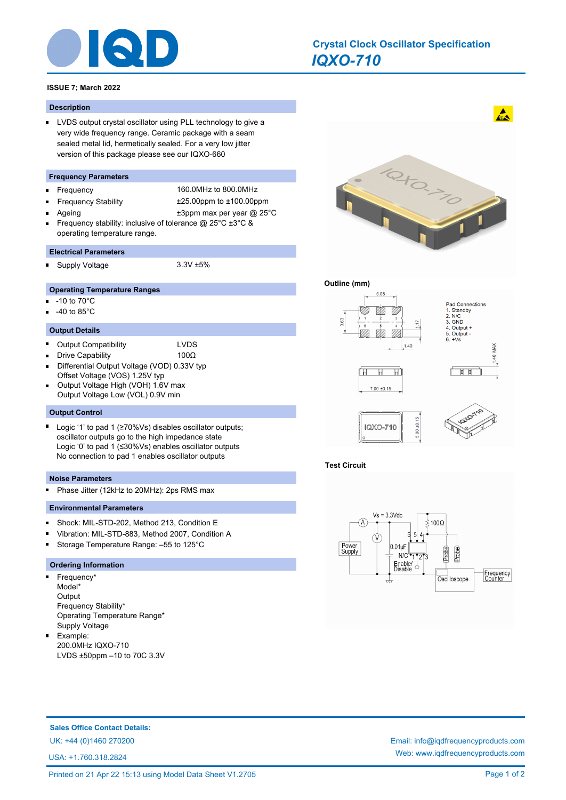

# *IQXO-710* **Crystal Clock Oscillator Specification**

# **ISSUE 7; March 2022**

### **Description**

**LVDS output crystal oscillator using PLL technology to give a** very wide frequency range. Ceramic package with a seam sealed metal lid, hermetically sealed. For a very low jitter version of this package please see our IQXO-660

# **Frequency Parameters**

Ė

n.

 $\blacksquare$ 

Frequency 160.0MHz to 800.0MHz Frequency Stability ±25.00ppm to ±100.00ppm Ageing  $\qquad \qquad \pm 3$ ppm max per year @ 25°C

Frequency stability: inclusive of tolerance @ 25°C ±3°C & operating temperature range.

#### **Electrical Parameters**

Supply Voltage 3.3V ±5%

- **Operating Temperature Ranges**
- n. -10 to 70°C
- -40 to 85°C

#### **Output Details**

- ř. Output Compatibility LVDS
	- Drive Capability 100Ω
- Differential Output Voltage (VOD) 0.33V typ Offset Voltage (VOS) 1.25V typ
- Output Voltage High (VOH) 1.6V max Output Voltage Low (VOL) 0.9V min

#### **Output Control**

 $\blacksquare$ Logic '1' to pad 1 (≥70%Vs) disables oscillator outputs; oscillator outputs go to the high impedance state Logic '0' to pad 1 (≤30%Vs) enables oscillator outputs No connection to pad 1 enables oscillator outputs

#### **Noise Parameters**

Phase Jitter (12kHz to 20MHz): 2ps RMS max m.

#### **Environmental Parameters**

- $\blacksquare$ Shock: MIL-STD-202, Method 213, Condition E
- Vibration: MIL-STD-883, Method 2007, Condition A
- Storage Temperature Range: –55 to 125°C

# **Ordering Information**

- $\blacksquare$ Frequency\* Model\* **Output** Frequency Stability\* Operating Temperature Range\* Supply Voltage
- $\blacksquare$ Example: 200.0MHz IQXO-710 LVDS ±50ppm –10 to 70C 3.3V



 $\mathbf{A}$ 

# **Outline (mm)**



# **Test Circuit**



**Sales Office Contact Details:**

USA: +1.760.318.2824

UK: +44 (0)1460 270200 Email: info@iqdfrequencyproducts.com Web: www.iqdfrequencyproducts.com